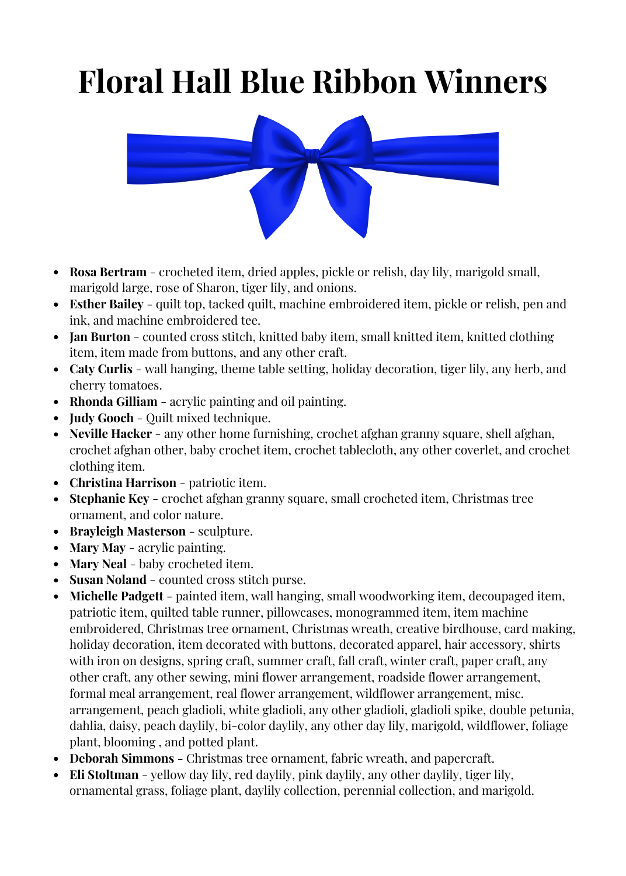## **Floral Hall Blue Ribbon Winners**



- **Rosa Bertram** crocheted item, dried apples, pickle or relish, day lily, marigold small, marigold large, rose of Sharon, tiger lily, and onions.
- **Esther Bailey** quilt top, tacked quilt, machine embroidered item, pickle or relish, pen and ink, and machine embroidered tee.
- **Jan Burton** counted cross stitch, knitted baby item, small knitted item, knitted clothing item, item made from buttons, and any other craft.
- **Caty Curlis** wall hanging, theme table setting, holiday decoration, tiger lily, any herb, and cherry tomatoes.
- **Rhonda Gilliam** acrylic painting and oil painting.
- **Judy Gooch** Quilt mixed technique.
- **Neville Hacker** any other home furnishing, crochet afghan granny square, shell afghan, crochet afghan other, baby crochet item, crochet tablecloth, any other coverlet, and crochet clothing item.
- **Christina Harrison** patriotic item.
- **Stephanie Key** crochet afghan granny square, small crocheted item, Christmas tree ornament, and color nature.
- **Brayleigh Masterson** sculpture.
- **Mary May** acrylic painting.
- **Mary Neal** baby crocheted item.
- **Susan Noland** counted cross stitch purse.
- **Michelle Padgett** painted item, wall hanging, small woodworking item, decoupaged item, patriotic item, quilted table runner, pillowcases, monogrammed item, item machine embroidered, Christmas tree ornament, Christmas wreath, creative birdhouse, card making, holiday decoration, item decorated with buttons, decorated apparel, hair accessory, shirts with iron on designs, spring craft, summer craft, fall craft, winter craft, paper craft, any other craft, any other sewing, mini flower arrangement, roadside flower arrangement, formal meal arrangement, real flower arrangement, wildflower arrangement, misc. arrangement, peach gladioli, white gladioli, any other gladioli, gladioli spike, double petunia, dahlia, daisy, peach daylily, bi-color daylily, any other day lily, marigold, wildflower, foliage plant, blooming , and potted plant.
- **Deborah Simmons** Christmas tree ornament, fabric wreath, and papercraft.
- **Eli Stoltman** yellow day lily, red daylily, pink daylily, any other daylily, tiger lily, ornamental grass, foliage plant, daylily collection, perennial collection, and marigold.